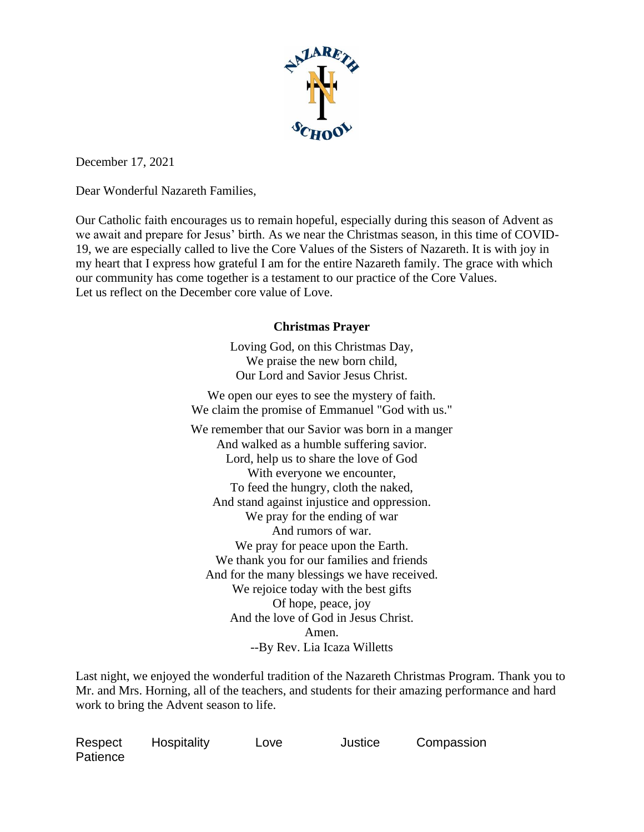

December 17, 2021

Dear Wonderful Nazareth Families,

Our Catholic faith encourages us to remain hopeful, especially during this season of Advent as we await and prepare for Jesus' birth. As we near the Christmas season, in this time of COVID-19, we are especially called to live the Core Values of the Sisters of Nazareth. It is with joy in my heart that I express how grateful I am for the entire Nazareth family. The grace with which our community has come together is a testament to our practice of the Core Values. Let us reflect on the December core value of Love.

## **Christmas Prayer**

Loving God, on this Christmas Day, We praise the new born child, Our Lord and Savior Jesus Christ.

We open our eyes to see the mystery of faith. We claim the promise of Emmanuel "God with us."

We remember that our Savior was born in a manger And walked as a humble suffering savior. Lord, help us to share the love of God With everyone we encounter, To feed the hungry, cloth the naked, And stand against injustice and oppression. We pray for the ending of war And rumors of war. We pray for peace upon the Earth. We thank you for our families and friends And for the many blessings we have received. We rejoice today with the best gifts Of hope, peace, joy And the love of God in Jesus Christ. Amen. --By Rev. Lia Icaza Willetts

Last night, we enjoyed the wonderful tradition of the Nazareth Christmas Program. Thank you to Mr. and Mrs. Horning, all of the teachers, and students for their amazing performance and hard work to bring the Advent season to life.

| Respect  | Hospitality | Love | Justice | Compassion |
|----------|-------------|------|---------|------------|
| Patience |             |      |         |            |